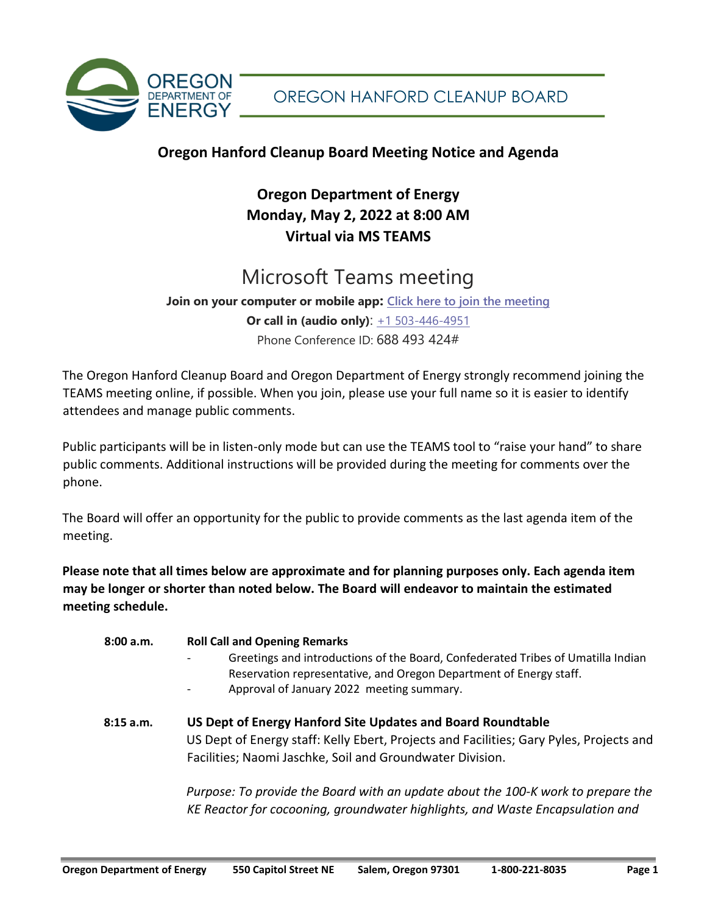

## **Oregon Hanford Cleanup Board Meeting Notice and Agenda**

## **Oregon Department of Energy Monday, May 2, 2022 at 8:00 AM Virtual via MS TEAMS**

# Microsoft Teams meeting

**Join on your computer or mobile app: [Click here to join the meeting](https://teams.microsoft.com/l/meetup-join/19%3ameeting_MDBlODc1ZGItMTc2NC00OTBkLTlkOTMtYjQ0OWY3ZTE5YmIz%40thread.v2/0?context=%7b%22Tid%22%3a%22aa3f6932-fa7c-47b4-a0ce-a598cad161cf%22%2c%22Oid%22%3a%2264c6d8eb-5104-4494-9713-de342ec16c4c%22%7d) Or call in (audio only)**: [+1 503-446-4951](tel:+15034464951,,688493424# ) Phone Conference ID: 688 493 424#

The Oregon Hanford Cleanup Board and Oregon Department of Energy strongly recommend joining the TEAMS meeting online, if possible. When you join, please use your full name so it is easier to identify attendees and manage public comments.

Public participants will be in listen-only mode but can use the TEAMS tool to "raise your hand" to share public comments. Additional instructions will be provided during the meeting for comments over the phone.

The Board will offer an opportunity for the public to provide comments as the last agenda item of the meeting.

**Please note that all times below are approximate and for planning purposes only. Each agenda item may be longer or shorter than noted below. The Board will endeavor to maintain the estimated meeting schedule.** 

| 8:00 a.m. | <b>Roll Call and Opening Remarks</b><br>Greetings and introductions of the Board, Confederated Tribes of Umatilla Indian<br>Reservation representative, and Oregon Department of Energy staff.<br>Approval of January 2022 meeting summary. |
|-----------|---------------------------------------------------------------------------------------------------------------------------------------------------------------------------------------------------------------------------------------------|
| 8:15 a.m. | US Dept of Energy Hanford Site Updates and Board Roundtable<br>US Dept of Energy staff: Kelly Ebert, Projects and Facilities; Gary Pyles, Projects and<br>Facilities; Naomi Jaschke, Soil and Groundwater Division.                         |
|           | Purpose: To provide the Board with an update about the 100-K work to prepare the<br>KE Reactor for cocooning, groundwater highlights, and Waste Encapsulation and                                                                           |